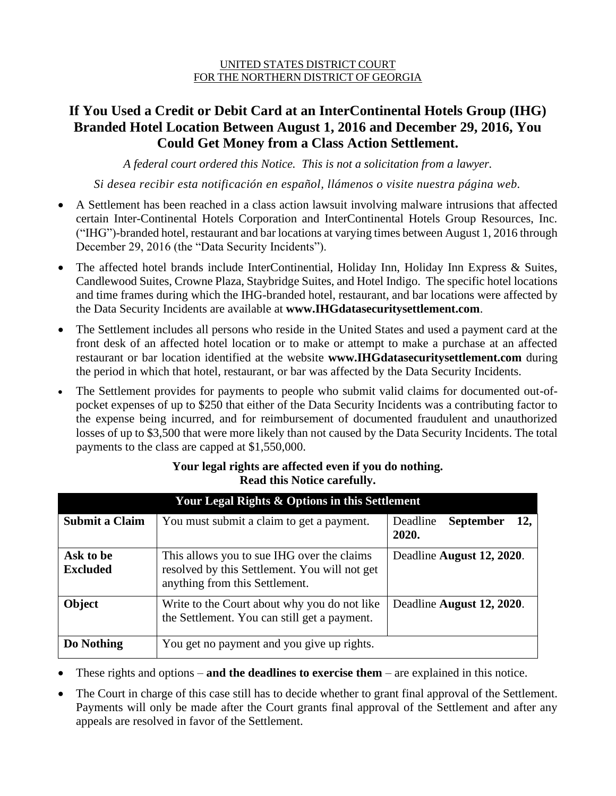#### UNITED STATES DISTRICT COURT FOR THE NORTHERN DISTRICT OF GEORGIA

### **If You Used a Credit or Debit Card at an InterContinental Hotels Group (IHG) Branded Hotel Location Between August 1, 2016 and December 29, 2016, You Could Get Money from a Class Action Settlement.**

*A federal court ordered this Notice. This is not a solicitation from a lawyer.*

*Si desea recibir esta notificación en español, llámenos o visite nuestra página web.*

- A Settlement has been reached in a class action lawsuit involving malware intrusions that affected certain Inter-Continental Hotels Corporation and InterContinental Hotels Group Resources, Inc. ("IHG")-branded hotel, restaurant and bar locations at varying times between August 1, 2016 through December 29, 2016 (the "Data Security Incidents").
- The affected hotel brands include InterContinential, Holiday Inn, Holiday Inn Express & Suites, Candlewood Suites, Crowne Plaza, Staybridge Suites, and Hotel Indigo. The specific hotel locations and time frames during which the IHG-branded hotel, restaurant, and bar locations were affected by the Data Security Incidents are available at **www.IHGdatasecuritysettlement.com**.
- The Settlement includes all persons who reside in the United States and used a payment card at the front desk of an affected hotel location or to make or attempt to make a purchase at an affected restaurant or bar location identified at the website **www.IHGdatasecuritysettlement.com** during the period in which that hotel, restaurant, or bar was affected by the Data Security Incidents.
- The Settlement provides for payments to people who submit valid claims for documented out-ofpocket expenses of up to \$250 that either of the Data Security Incidents was a contributing factor to the expense being incurred, and for reimbursement of documented fraudulent and unauthorized losses of up to \$3,500 that were more likely than not caused by the Data Security Incidents. The total payments to the class are capped at \$1,550,000.

| Your Legal Rights & Options in this Settlement |                                                                                                                               |                                              |  |  |
|------------------------------------------------|-------------------------------------------------------------------------------------------------------------------------------|----------------------------------------------|--|--|
| <b>Submit a Claim</b>                          | You must submit a claim to get a payment.                                                                                     | Deadline<br><b>September</b><br>12.<br>2020. |  |  |
| Ask to be<br><b>Excluded</b>                   | This allows you to sue IHG over the claims<br>resolved by this Settlement. You will not get<br>anything from this Settlement. | Deadline August 12, 2020.                    |  |  |
| Object                                         | Write to the Court about why you do not like<br>the Settlement. You can still get a payment.                                  | Deadline August 12, 2020.                    |  |  |
| Do Nothing                                     | You get no payment and you give up rights.                                                                                    |                                              |  |  |

#### **Your legal rights are affected even if you do nothing. Read this Notice carefully.**

- These rights and options **and the deadlines to exercise them** are explained in this notice.
- The Court in charge of this case still has to decide whether to grant final approval of the Settlement. Payments will only be made after the Court grants final approval of the Settlement and after any appeals are resolved in favor of the Settlement.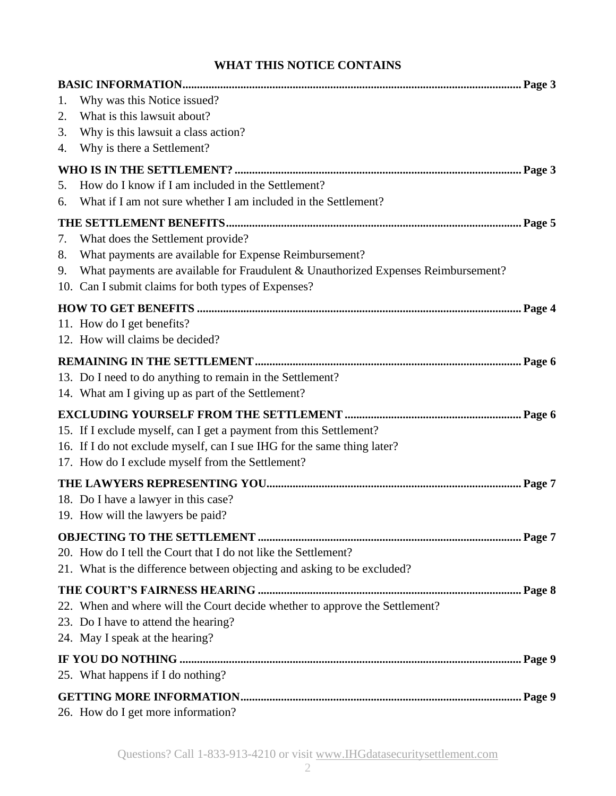### **WHAT THIS NOTICE CONTAINS**

| 1. | Why was this Notice issued?                                                       |  |  |
|----|-----------------------------------------------------------------------------------|--|--|
| 2. | What is this lawsuit about?                                                       |  |  |
| 3. | Why is this lawsuit a class action?                                               |  |  |
| 4. | Why is there a Settlement?                                                        |  |  |
|    |                                                                                   |  |  |
| 5. | How do I know if I am included in the Settlement?                                 |  |  |
| 6. | What if I am not sure whether I am included in the Settlement?                    |  |  |
|    |                                                                                   |  |  |
| 7. | What does the Settlement provide?                                                 |  |  |
| 8. | What payments are available for Expense Reimbursement?                            |  |  |
| 9. | What payments are available for Fraudulent & Unauthorized Expenses Reimbursement? |  |  |
|    | 10. Can I submit claims for both types of Expenses?                               |  |  |
|    |                                                                                   |  |  |
|    | 11. How do I get benefits?                                                        |  |  |
|    | 12. How will claims be decided?                                                   |  |  |
|    |                                                                                   |  |  |
|    | 13. Do I need to do anything to remain in the Settlement?                         |  |  |
|    | 14. What am I giving up as part of the Settlement?                                |  |  |
|    |                                                                                   |  |  |
|    | 15. If I exclude myself, can I get a payment from this Settlement?                |  |  |
|    | 16. If I do not exclude myself, can I sue IHG for the same thing later?           |  |  |
|    | 17. How do I exclude myself from the Settlement?                                  |  |  |
|    |                                                                                   |  |  |
|    | 18. Do I have a lawyer in this case?                                              |  |  |
|    | 19. How will the lawyers be paid?                                                 |  |  |
|    |                                                                                   |  |  |
|    | 20. How do I tell the Court that I do not like the Settlement?                    |  |  |
|    | 21. What is the difference between objecting and asking to be excluded?           |  |  |
|    |                                                                                   |  |  |
|    | 22. When and where will the Court decide whether to approve the Settlement?       |  |  |
|    | 23. Do I have to attend the hearing?                                              |  |  |
|    | 24. May I speak at the hearing?                                                   |  |  |
|    |                                                                                   |  |  |
|    | 25. What happens if I do nothing?                                                 |  |  |
|    |                                                                                   |  |  |
|    |                                                                                   |  |  |
|    | 26. How do I get more information?                                                |  |  |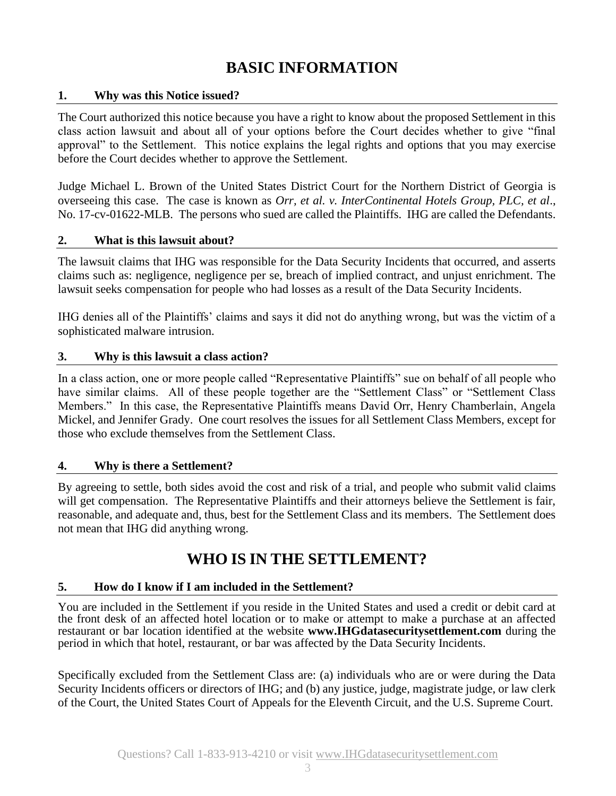# **BASIC INFORMATION**

#### **1. Why was this Notice issued?**

The Court authorized this notice because you have a right to know about the proposed Settlement in this class action lawsuit and about all of your options before the Court decides whether to give "final approval" to the Settlement. This notice explains the legal rights and options that you may exercise before the Court decides whether to approve the Settlement.

Judge Michael L. Brown of the United States District Court for the Northern District of Georgia is overseeing this case. The case is known as *Orr, et al. v. InterContinental Hotels Group, PLC, et al*., No. 17-cv-01622-MLB. The persons who sued are called the Plaintiffs. IHG are called the Defendants.

#### **2. What is this lawsuit about?**

The lawsuit claims that IHG was responsible for the Data Security Incidents that occurred, and asserts claims such as: negligence, negligence per se, breach of implied contract, and unjust enrichment. The lawsuit seeks compensation for people who had losses as a result of the Data Security Incidents.

IHG denies all of the Plaintiffs' claims and says it did not do anything wrong, but was the victim of a sophisticated malware intrusion.

#### **3. Why is this lawsuit a class action?**

In a class action, one or more people called "Representative Plaintiffs" sue on behalf of all people who have similar claims. All of these people together are the "Settlement Class" or "Settlement Class Members." In this case, the Representative Plaintiffs means David Orr, Henry Chamberlain, Angela Mickel, and Jennifer Grady. One court resolves the issues for all Settlement Class Members, except for those who exclude themselves from the Settlement Class.

#### **4. Why is there a Settlement?**

By agreeing to settle, both sides avoid the cost and risk of a trial, and people who submit valid claims will get compensation. The Representative Plaintiffs and their attorneys believe the Settlement is fair, reasonable, and adequate and, thus, best for the Settlement Class and its members. The Settlement does not mean that IHG did anything wrong.

### **WHO IS IN THE SETTLEMENT?**

#### **5. How do I know if I am included in the Settlement?**

You are included in the Settlement if you reside in the United States and used a credit or debit card at the front desk of an affected hotel location or to make or attempt to make a purchase at an affected restaurant or bar location identified at the website **www.IHGdatasecuritysettlement.com** during the period in which that hotel, restaurant, or bar was affected by the Data Security Incidents.

Specifically excluded from the Settlement Class are: (a) individuals who are or were during the Data Security Incidents officers or directors of IHG; and (b) any justice, judge, magistrate judge, or law clerk of the Court, the United States Court of Appeals for the Eleventh Circuit, and the U.S. Supreme Court.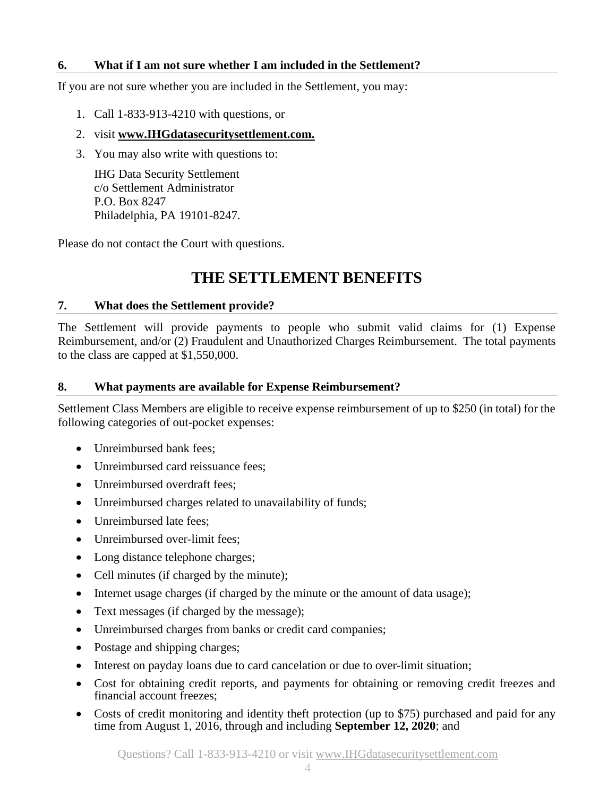#### **6. What if I am not sure whether I am included in the Settlement?**

If you are not sure whether you are included in the Settlement, you may:

- 1. Call 1-833-913-4210 with questions, or
- 2. visit **www.IHGdatasecuritysettlement.com.**
- 3. You may also write with questions to:

IHG Data Security Settlement c/o Settlement Administrator P.O. Box 8247 Philadelphia, PA 19101-8247.

Please do not contact the Court with questions.

## **THE SETTLEMENT BENEFITS**

#### **7. What does the Settlement provide?**

The Settlement will provide payments to people who submit valid claims for (1) Expense Reimbursement, and/or (2) Fraudulent and Unauthorized Charges Reimbursement. The total payments to the class are capped at \$1,550,000.

#### **8. What payments are available for Expense Reimbursement?**

Settlement Class Members are eligible to receive expense reimbursement of up to \$250 (in total) for the following categories of out-pocket expenses:

- Unreimbursed bank fees:
- Unreimbursed card reissuance fees:
- Unreimbursed overdraft fees:
- Unreimbursed charges related to unavailability of funds;
- Unreimbursed late fees:
- Unreimbursed over-limit fees:
- Long distance telephone charges;
- Cell minutes (if charged by the minute);
- Internet usage charges (if charged by the minute or the amount of data usage);
- Text messages (if charged by the message);
- Unreimbursed charges from banks or credit card companies;
- Postage and shipping charges;
- Interest on payday loans due to card cancelation or due to over-limit situation;
- Cost for obtaining credit reports, and payments for obtaining or removing credit freezes and financial account freezes;
- Costs of credit monitoring and identity theft protection (up to \$75) purchased and paid for any time from August 1, 2016, through and including **September 12, 2020**; and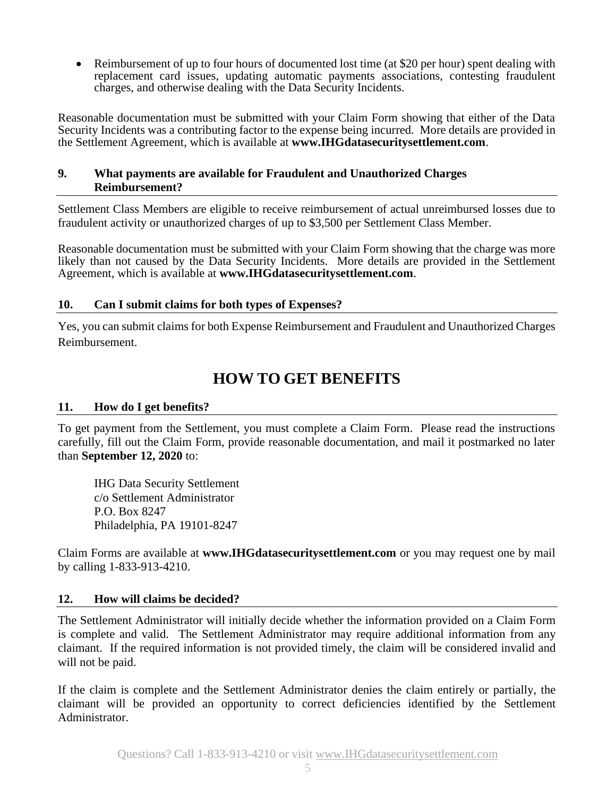• Reimbursement of up to four hours of documented lost time (at \$20 per hour) spent dealing with replacement card issues, updating automatic payments associations, contesting fraudulent charges, and otherwise dealing with the Data Security Incidents.

Reasonable documentation must be submitted with your Claim Form showing that either of the Data Security Incidents was a contributing factor to the expense being incurred. More details are provided in the Settlement Agreement, which is available at **www.IHGdatasecuritysettlement.com**.

#### **9. What payments are available for Fraudulent and Unauthorized Charges Reimbursement?**

Settlement Class Members are eligible to receive reimbursement of actual unreimbursed losses due to fraudulent activity or unauthorized charges of up to \$3,500 per Settlement Class Member.

Reasonable documentation must be submitted with your Claim Form showing that the charge was more likely than not caused by the Data Security Incidents. More details are provided in the Settlement Agreement, which is available at **www.IHGdatasecuritysettlement.com**.

#### **10. Can I submit claims for both types of Expenses?**

Yes, you can submit claims for both Expense Reimbursement and Fraudulent and Unauthorized Charges Reimbursement.

### **HOW TO GET BENEFITS**

#### **11. How do I get benefits?**

To get payment from the Settlement, you must complete a Claim Form. Please read the instructions carefully, fill out the Claim Form, provide reasonable documentation, and mail it postmarked no later than **September 12, 2020** to:

IHG Data Security Settlement c/o Settlement Administrator P.O. Box 8247 Philadelphia, PA 19101-8247

Claim Forms are available at **www.IHGdatasecuritysettlement.com** or you may request one by mail by calling 1-833-913-4210.

#### **12. How will claims be decided?**

The Settlement Administrator will initially decide whether the information provided on a Claim Form is complete and valid. The Settlement Administrator may require additional information from any claimant. If the required information is not provided timely, the claim will be considered invalid and will not be paid.

If the claim is complete and the Settlement Administrator denies the claim entirely or partially, the claimant will be provided an opportunity to correct deficiencies identified by the Settlement Administrator.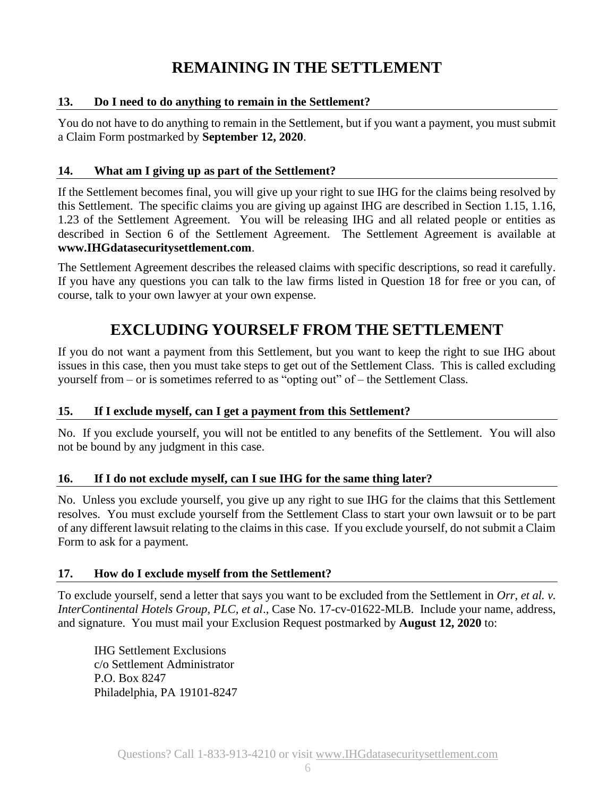# **REMAINING IN THE SETTLEMENT**

#### **13. Do I need to do anything to remain in the Settlement?**

You do not have to do anything to remain in the Settlement, but if you want a payment, you must submit a Claim Form postmarked by **September 12, 2020**.

#### **14. What am I giving up as part of the Settlement?**

If the Settlement becomes final, you will give up your right to sue IHG for the claims being resolved by this Settlement. The specific claims you are giving up against IHG are described in Section 1.15, 1.16, 1.23 of the Settlement Agreement. You will be releasing IHG and all related people or entities as described in Section 6 of the Settlement Agreement. The Settlement Agreement is available at **www.IHGdatasecuritysettlement.com**.

The Settlement Agreement describes the released claims with specific descriptions, so read it carefully. If you have any questions you can talk to the law firms listed in Question 18 for free or you can, of course, talk to your own lawyer at your own expense.

### **EXCLUDING YOURSELF FROM THE SETTLEMENT**

If you do not want a payment from this Settlement, but you want to keep the right to sue IHG about issues in this case, then you must take steps to get out of the Settlement Class. This is called excluding yourself from – or is sometimes referred to as "opting out" of – the Settlement Class.

#### **15. If I exclude myself, can I get a payment from this Settlement?**

No. If you exclude yourself, you will not be entitled to any benefits of the Settlement. You will also not be bound by any judgment in this case.

#### **16. If I do not exclude myself, can I sue IHG for the same thing later?**

No. Unless you exclude yourself, you give up any right to sue IHG for the claims that this Settlement resolves. You must exclude yourself from the Settlement Class to start your own lawsuit or to be part of any different lawsuit relating to the claims in this case. If you exclude yourself, do not submit a Claim Form to ask for a payment.

#### **17. How do I exclude myself from the Settlement?**

To exclude yourself, send a letter that says you want to be excluded from the Settlement in *Orr, et al. v. InterContinental Hotels Group, PLC, et al*., Case No. 17-cv-01622-MLB. Include your name, address, and signature. You must mail your Exclusion Request postmarked by **August 12, 2020** to:

IHG Settlement Exclusions c/o Settlement Administrator P.O. Box 8247 Philadelphia, PA 19101-8247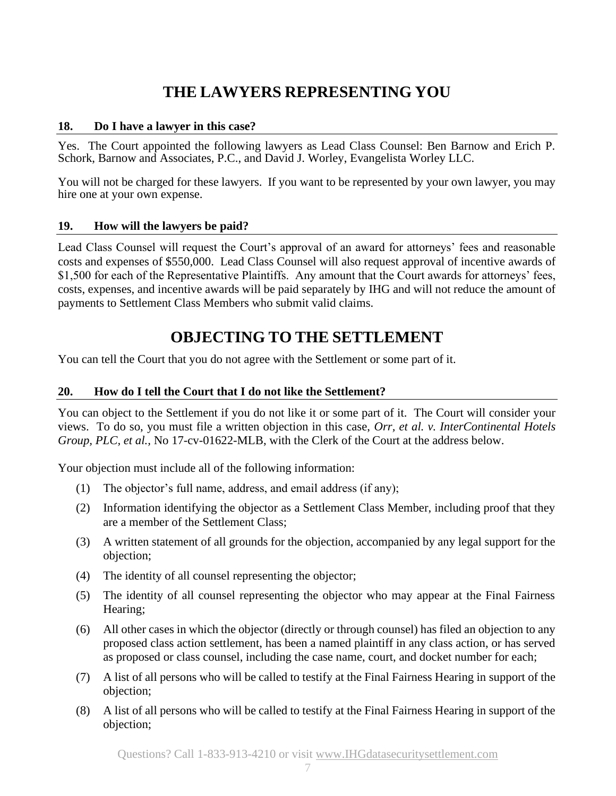# **THE LAWYERS REPRESENTING YOU**

#### **18. Do I have a lawyer in this case?**

Yes. The Court appointed the following lawyers as Lead Class Counsel: Ben Barnow and Erich P. Schork, Barnow and Associates, P.C., and David J. Worley, Evangelista Worley LLC.

You will not be charged for these lawyers. If you want to be represented by your own lawyer, you may hire one at your own expense.

#### **19. How will the lawyers be paid?**

Lead Class Counsel will request the Court's approval of an award for attorneys' fees and reasonable costs and expenses of \$550,000. Lead Class Counsel will also request approval of incentive awards of \$1,500 for each of the Representative Plaintiffs. Any amount that the Court awards for attorneys' fees, costs, expenses, and incentive awards will be paid separately by IHG and will not reduce the amount of payments to Settlement Class Members who submit valid claims.

### **OBJECTING TO THE SETTLEMENT**

You can tell the Court that you do not agree with the Settlement or some part of it.

#### **20. How do I tell the Court that I do not like the Settlement?**

You can object to the Settlement if you do not like it or some part of it. The Court will consider your views. To do so, you must file a written objection in this case, *Orr, et al. v. InterContinental Hotels Group, PLC, et al.,* No 17-cv-01622-MLB, with the Clerk of the Court at the address below.

Your objection must include all of the following information:

- (1) The objector's full name, address, and email address (if any);
- (2) Information identifying the objector as a Settlement Class Member, including proof that they are a member of the Settlement Class;
- (3) A written statement of all grounds for the objection, accompanied by any legal support for the objection;
- (4) The identity of all counsel representing the objector;
- (5) The identity of all counsel representing the objector who may appear at the Final Fairness Hearing;
- (6) All other cases in which the objector (directly or through counsel) has filed an objection to any proposed class action settlement, has been a named plaintiff in any class action, or has served as proposed or class counsel, including the case name, court, and docket number for each;
- (7) A list of all persons who will be called to testify at the Final Fairness Hearing in support of the objection;
- (8) A list of all persons who will be called to testify at the Final Fairness Hearing in support of the objection;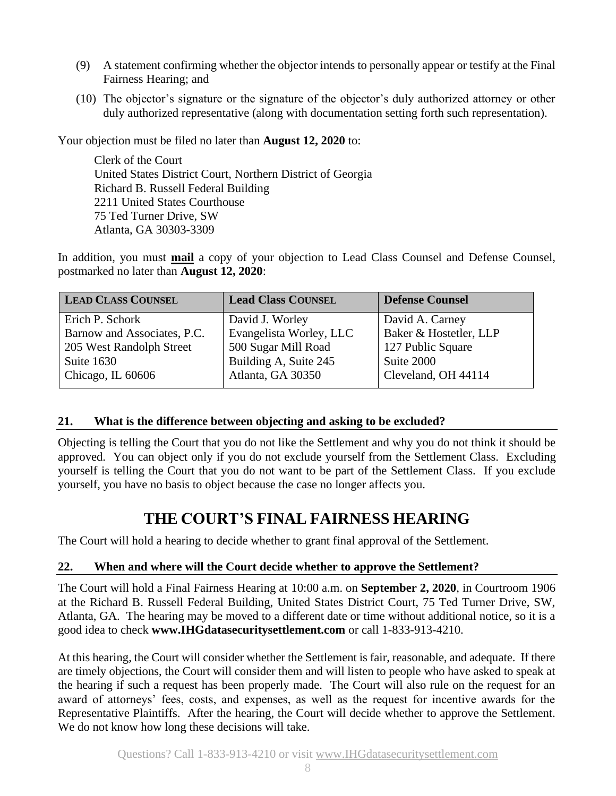- (9) A statement confirming whether the objector intends to personally appear or testify at the Final Fairness Hearing; and
- (10) The objector's signature or the signature of the objector's duly authorized attorney or other duly authorized representative (along with documentation setting forth such representation).

Your objection must be filed no later than **August 12, 2020** to:

Clerk of the Court United States District Court, Northern District of Georgia Richard B. Russell Federal Building 2211 United States Courthouse 75 Ted Turner Drive, SW Atlanta, GA 30303-3309

In addition, you must **mail** a copy of your objection to Lead Class Counsel and Defense Counsel, postmarked no later than **August 12, 2020**:

| <b>LEAD CLASS COUNSEL</b>   | <b>Lead Class COUNSEL</b> | <b>Defense Counsel</b> |
|-----------------------------|---------------------------|------------------------|
| Erich P. Schork             | David J. Worley           | David A. Carney        |
| Barnow and Associates, P.C. | Evangelista Worley, LLC   | Baker & Hostetler, LLP |
| 205 West Randolph Street    | 500 Sugar Mill Road       | 127 Public Square      |
| Suite 1630                  | Building A, Suite 245     | Suite 2000             |
| Chicago, IL 60606           | Atlanta, GA 30350         | Cleveland, OH 44114    |

#### **21. What is the difference between objecting and asking to be excluded?**

Objecting is telling the Court that you do not like the Settlement and why you do not think it should be approved. You can object only if you do not exclude yourself from the Settlement Class. Excluding yourself is telling the Court that you do not want to be part of the Settlement Class. If you exclude yourself, you have no basis to object because the case no longer affects you.

## **THE COURT'S FINAL FAIRNESS HEARING**

The Court will hold a hearing to decide whether to grant final approval of the Settlement.

#### **22. When and where will the Court decide whether to approve the Settlement?**

The Court will hold a Final Fairness Hearing at 10:00 a.m. on **September 2, 2020**, in Courtroom 1906 at the Richard B. Russell Federal Building, United States District Court, 75 Ted Turner Drive, SW, Atlanta, GA. The hearing may be moved to a different date or time without additional notice, so it is a good idea to check **www.IHGdatasecuritysettlement.com** or call 1-833-913-4210.

At this hearing, the Court will consider whether the Settlement is fair, reasonable, and adequate. If there are timely objections, the Court will consider them and will listen to people who have asked to speak at the hearing if such a request has been properly made. The Court will also rule on the request for an award of attorneys' fees, costs, and expenses, as well as the request for incentive awards for the Representative Plaintiffs. After the hearing, the Court will decide whether to approve the Settlement. We do not know how long these decisions will take.